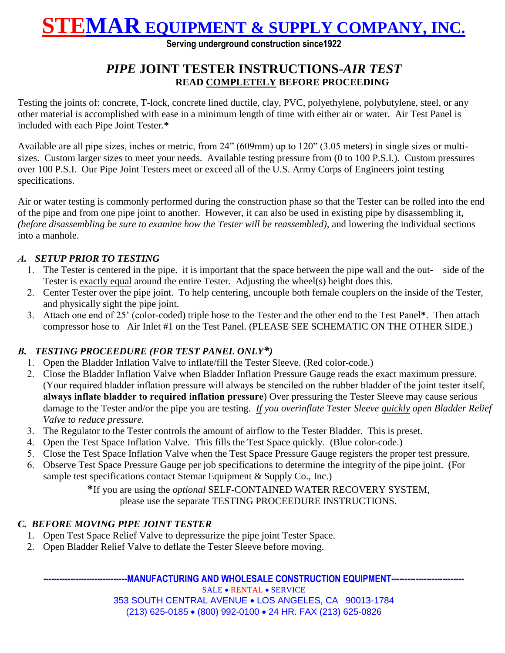## **STEMAR EQUIPMENT & SUPPLY COMPANY, INC.**

**Serving underground construction since1922**

### *PIPE* **JOINT TESTER INSTRUCTIONS-***AIR TEST* **READ COMPLETELY BEFORE PROCEEDING**

Testing the joints of: concrete, T-lock, concrete lined ductile, clay, PVC, polyethylene, polybutylene, steel, or any other material is accomplished with ease in a minimum length of time with either air or water. Air Test Panel is included with each Pipe Joint Tester.**\***

Available are all pipe sizes, inches or metric, from 24" (609mm) up to 120" (3.05 meters) in single sizes or multisizes. Custom larger sizes to meet your needs. Available testing pressure from (0 to 100 P.S.I.). Custom pressures over 100 P.S.I. Our Pipe Joint Testers meet or exceed all of the U.S. Army Corps of Engineers joint testing specifications.

Air or water testing is commonly performed during the construction phase so that the Tester can be rolled into the end of the pipe and from one pipe joint to another. However, it can also be used in existing pipe by disassembling it, *(before disassembling be sure to examine how the Tester will be reassembled)*, and lowering the individual sections into a manhole.

#### *A. SETUP PRIOR TO TESTING*

- 1. The Tester is centered in the pipe. it is important that the space between the pipe wall and the out- side of the Tester is exactly equal around the entire Tester. Adjusting the wheel(s) height does this.
- 2. Center Tester over the pipe joint. To help centering, uncouple both female couplers on the inside of the Tester, and physically sight the pipe joint.
- 3. Attach one end of 25' (color-coded) triple hose to the Tester and the other end to the Test Panel**\***. Then attach compressor hose to Air Inlet #1 on the Test Panel. (PLEASE SEE SCHEMATIC ON THE OTHER SIDE.)

#### *B. TESTING PROCEEDURE (FOR TEST PANEL ONLY\*)*

- 1. Open the Bladder Inflation Valve to inflate/fill the Tester Sleeve. (Red color-code.)
- 2. Close the Bladder Inflation Valve when Bladder Inflation Pressure Gauge reads the exact maximum pressure. (Your required bladder inflation pressure will always be stenciled on the rubber bladder of the joint tester itself, **always inflate bladder to required inflation pressure**) Over pressuring the Tester Sleeve may cause serious damage to the Tester and/or the pipe you are testing. *If you overinflate Tester Sleeve quickly open Bladder Relief Valve to reduce pressure.*
- 3. The Regulator to the Tester controls the amount of airflow to the Tester Bladder. This is preset.
- 4. Open the Test Space Inflation Valve. This fills the Test Space quickly. (Blue color-code.)
- 5. Close the Test Space Inflation Valve when the Test Space Pressure Gauge registers the proper test pressure.
- 6. Observe Test Space Pressure Gauge per job specifications to determine the integrity of the pipe joint. (For sample test specifications contact Stemar Equipment & Supply Co., Inc.)

**\***If you are using the *optional* SELF-CONTAINED WATER RECOVERY SYSTEM, please use the separate TESTING PROCEEDURE INSTRUCTIONS.

#### *C. BEFORE MOVING PIPE JOINT TESTER*

- 1. Open Test Space Relief Valve to depressurize the pipe joint Tester Space.
- 2. Open Bladder Relief Valve to deflate the Tester Sleeve before moving.

-MANUFACTURING AND WHOLESALE CONSTRUCTION EQUIPMENT--

SALE • RENTAL • SERVICE 353 SOUTH CENTRAL AVENUE LOS ANGELES, CA 90013-1784 (213) 625-0185 (800) 992-0100 24 HR. FAX (213) 625-0826